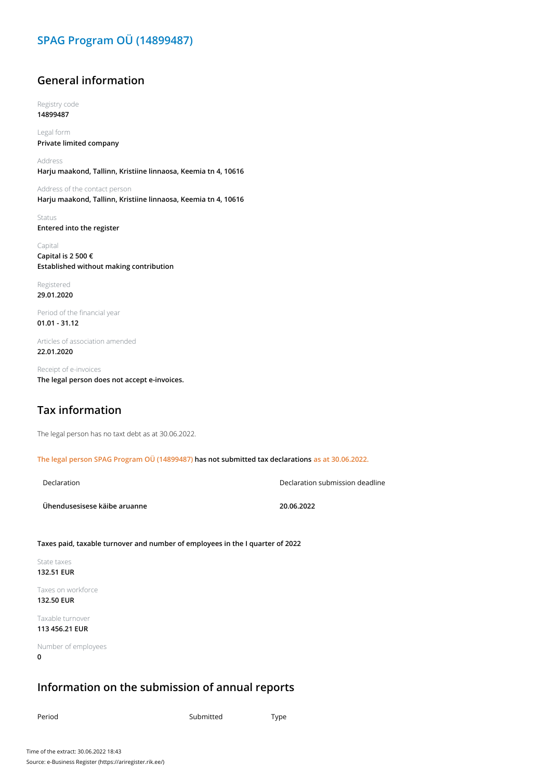# **SPAG Program OÜ (14899487)**

## **General information**

Registry code **14899487**

Legal form **Private limited company**

Address **Harju maakond, Tallinn, Kristiine linnaosa, Keemia tn 4, 10616**

Address of the contact person **Harju maakond, Tallinn, Kristiine linnaosa, Keemia tn 4, 10616**

Status **Entered into the register**

Capital **Capital is 2 500 € Established without making contribution**

Registered **29.01.2020**

Period of the financial year **01.01 - 31.12**

Articles of association amended **22.01.2020**

Receipt of e-invoices **The legal person does not accept e-invoices.**

## **Tax information**

The legal person has no taxt debt as at 30.06.2022.

**The legal person SPAG Program OÜ (14899487) has not submitted tax declarations as at 30.06.2022.**

Declaration Declaration submission deadline

**Ühendusesisese käibe aruanne 20.06.2022**

**Taxes paid, taxable turnover and number of employees in the I quarter of 2022**

State taxes **132.51 EUR**

Taxes on workforce **132.50 EUR**

Taxable turnover **113 456.21 EUR**

Number of employees **0**

#### **Information on the submission of annual reports**

Period Type